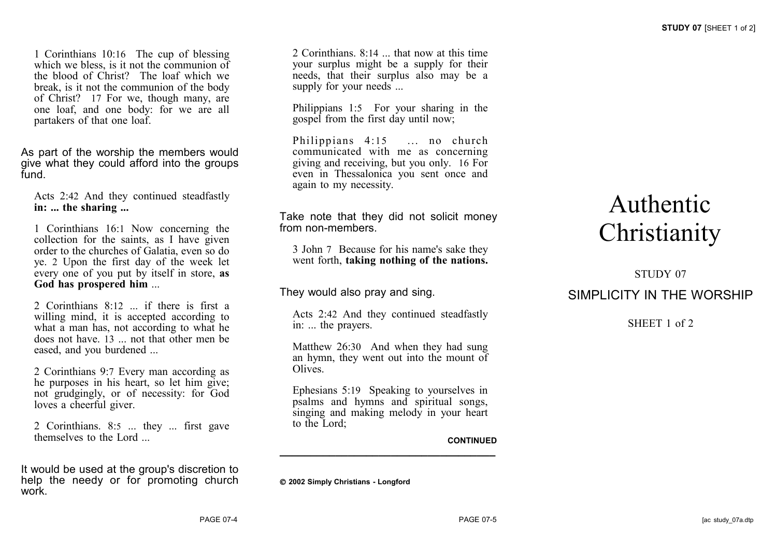1 Corinthians 10:16 The cup of blessing which we bless, is it not the communion of the blood of Christ? The loaf which we break, is it not the communion of the body of Christ? 17 For we, though many, are one loaf, and one body: for we are all partakers of that one loaf.

As part of the worship the members would give what they could afford into the groups fund.

Acts 2:42 And they continued steadfastly **in: ... the sharing ...**

1 Corinthians 16:1 Now concerning the collection for the saints, as I have given order to the churches of Galatia, even so do ye. 2 Upon the first day of the week let every one of you put by itself in store, **as God has prospered him** ...

2 Corinthians 8:12 ... if there is first a willing mind, it is accepted according to what a man has, not according to what he does not have. 13 ... not that other men be eased, and you burdened ...

2 Corinthians 9:7 Every man according as he purposes in his heart, so let him give; not grudgingly, or of necessity: for God loves a cheerful giver.

2 Corinthians. 8:5 ... they ... first gave themselves to the Lord ...

It would be used at the group's discretion to help the needy or for promoting church work.

2 Corinthians. 8:14 ... that now at this time your surplus might be a supply for their needs, that their surplus also may be a supply for your needs ...

Philippians 1:5 For your sharing in the gospel from the first day until now;

Philippians 4:15 ... no church communicated with me as concerning giving and receiving, but you only. 16 For even in Thessalonica you sent once and again to my necessity.

Take note that they did not solicit money from non-members.

3 John 7 Because for his name's sake they went forth, **taking nothing of the nations.**

They would also pray and sing.

Acts 2:42 And they continued steadfastly in: ... the prayers.

Matthew 26:30 And when they had sung an hymn, they went out into the mount of **Olives** 

Ephesians 5:19 Speaking to yourselves in psalms and hymns and spiritual songs, singing and making melody in your heart to the Lord;

**\_\_\_\_\_\_\_\_\_\_\_\_\_\_\_\_\_\_\_\_\_\_\_\_\_\_\_\_\_\_\_\_\_\_\_**

#### **CONTINUED**

**2002 Simply Christians - Longford**

# Authentic **Christianity**

## STUDY 07 SIMPLICITY IN THE WORSHIP

SHEET 1 of 2